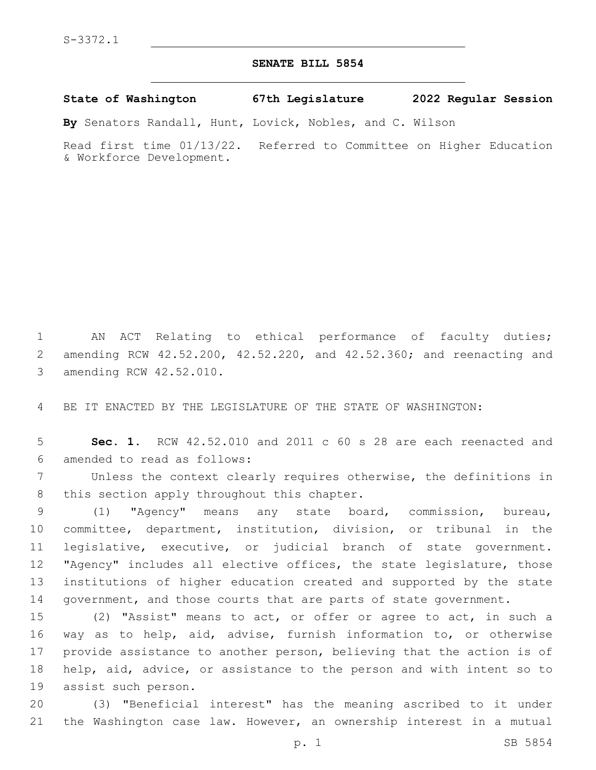## **SENATE BILL 5854**

**State of Washington 67th Legislature 2022 Regular Session**

**By** Senators Randall, Hunt, Lovick, Nobles, and C. Wilson

Read first time 01/13/22. Referred to Committee on Higher Education & Workforce Development.

1 AN ACT Relating to ethical performance of faculty duties; 2 amending RCW 42.52.200, 42.52.220, and 42.52.360; and reenacting and 3 amending RCW 42.52.010.

4 BE IT ENACTED BY THE LEGISLATURE OF THE STATE OF WASHINGTON:

5 **Sec. 1.** RCW 42.52.010 and 2011 c 60 s 28 are each reenacted and amended to read as follows:6

7 Unless the context clearly requires otherwise, the definitions in 8 this section apply throughout this chapter.

 (1) "Agency" means any state board, commission, bureau, committee, department, institution, division, or tribunal in the legislative, executive, or judicial branch of state government. "Agency" includes all elective offices, the state legislature, those institutions of higher education created and supported by the state 14 government, and those courts that are parts of state government.

 (2) "Assist" means to act, or offer or agree to act, in such a way as to help, aid, advise, furnish information to, or otherwise provide assistance to another person, believing that the action is of help, aid, advice, or assistance to the person and with intent so to 19 assist such person.

20 (3) "Beneficial interest" has the meaning ascribed to it under 21 the Washington case law. However, an ownership interest in a mutual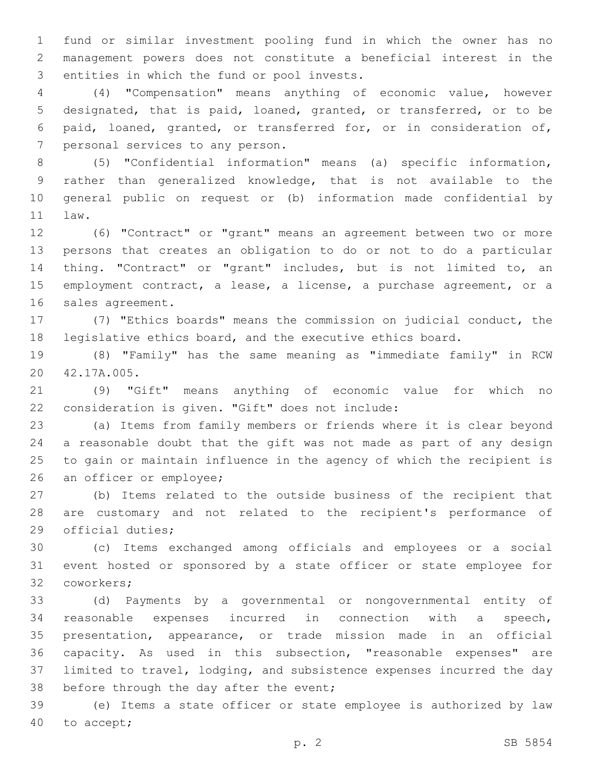fund or similar investment pooling fund in which the owner has no management powers does not constitute a beneficial interest in the 3 entities in which the fund or pool invests.

 (4) "Compensation" means anything of economic value, however designated, that is paid, loaned, granted, or transferred, or to be paid, loaned, granted, or transferred for, or in consideration of, 7 personal services to any person.

 (5) "Confidential information" means (a) specific information, rather than generalized knowledge, that is not available to the general public on request or (b) information made confidential by 11 law.

 (6) "Contract" or "grant" means an agreement between two or more persons that creates an obligation to do or not to do a particular thing. "Contract" or "grant" includes, but is not limited to, an employment contract, a lease, a license, a purchase agreement, or a 16 sales agreement.

 (7) "Ethics boards" means the commission on judicial conduct, the legislative ethics board, and the executive ethics board.

 (8) "Family" has the same meaning as "immediate family" in RCW 20 42.17A.005.

 (9) "Gift" means anything of economic value for which no 22 consideration is given. "Gift" does not include:

 (a) Items from family members or friends where it is clear beyond a reasonable doubt that the gift was not made as part of any design to gain or maintain influence in the agency of which the recipient is 26 an officer or employee;

 (b) Items related to the outside business of the recipient that are customary and not related to the recipient's performance of 29 official duties;

 (c) Items exchanged among officials and employees or a social event hosted or sponsored by a state officer or state employee for 32 coworkers;

 (d) Payments by a governmental or nongovernmental entity of reasonable expenses incurred in connection with a speech, presentation, appearance, or trade mission made in an official capacity. As used in this subsection, "reasonable expenses" are limited to travel, lodging, and subsistence expenses incurred the day 38 before through the day after the event;

 (e) Items a state officer or state employee is authorized by law 40 to accept;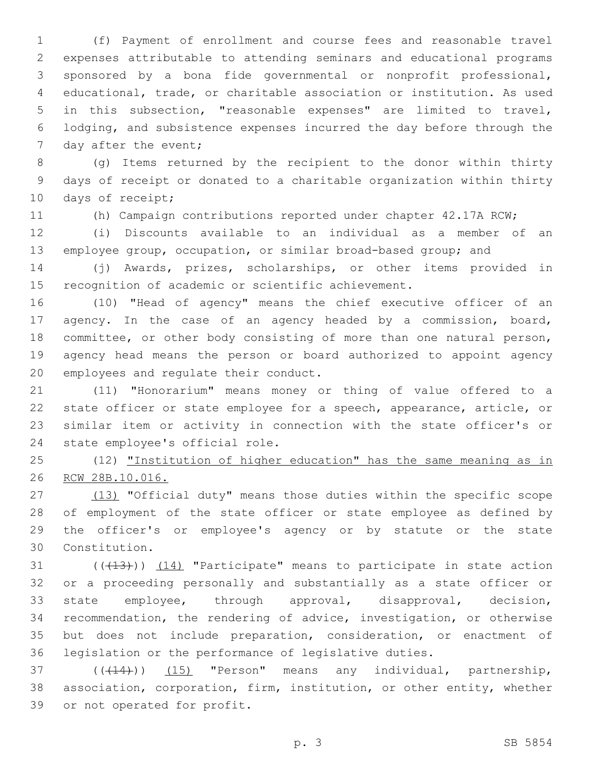(f) Payment of enrollment and course fees and reasonable travel expenses attributable to attending seminars and educational programs sponsored by a bona fide governmental or nonprofit professional, educational, trade, or charitable association or institution. As used in this subsection, "reasonable expenses" are limited to travel, lodging, and subsistence expenses incurred the day before through the 7 day after the event;

 (g) Items returned by the recipient to the donor within thirty days of receipt or donated to a charitable organization within thirty 10 days of receipt;

(h) Campaign contributions reported under chapter 42.17A RCW;

 (i) Discounts available to an individual as a member of an employee group, occupation, or similar broad-based group; and

 (j) Awards, prizes, scholarships, or other items provided in recognition of academic or scientific achievement.

 (10) "Head of agency" means the chief executive officer of an agency. In the case of an agency headed by a commission, board, committee, or other body consisting of more than one natural person, agency head means the person or board authorized to appoint agency 20 employees and regulate their conduct.

 (11) "Honorarium" means money or thing of value offered to a state officer or state employee for a speech, appearance, article, or similar item or activity in connection with the state officer's or 24 state employee's official role.

 (12) "Institution of higher education" has the same meaning as in RCW 28B.10.016.

27 (13) "Official duty" means those duties within the specific scope of employment of the state officer or state employee as defined by the officer's or employee's agency or by statute or the state Constitution.30

31 ((+13))) (14) "Participate" means to participate in state action or a proceeding personally and substantially as a state officer or state employee, through approval, disapproval, decision, recommendation, the rendering of advice, investigation, or otherwise but does not include preparation, consideration, or enactment of legislation or the performance of legislative duties.

37 (((14))) (15) "Person" means any individual, partnership, association, corporation, firm, institution, or other entity, whether 39 or not operated for profit.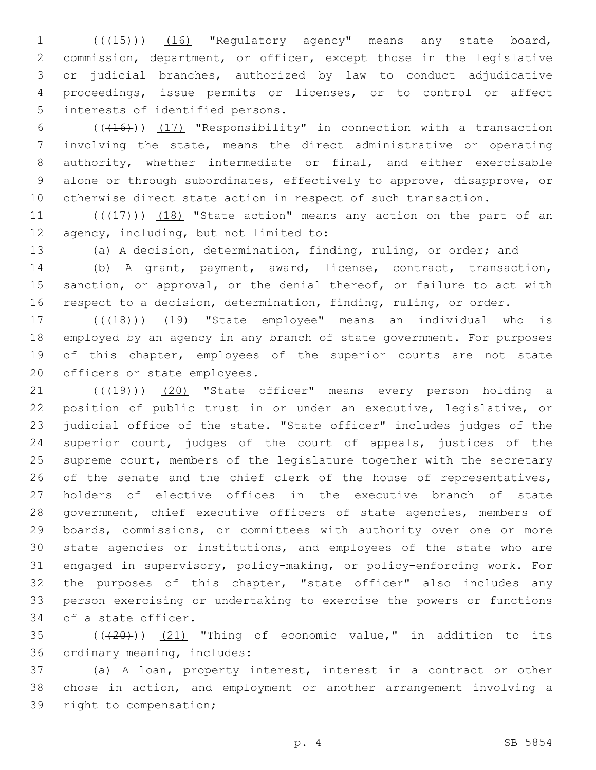1 (( $(15)$ )) (16) "Regulatory agency" means any state board, 2 commission, department, or officer, except those in the legislative 3 or judicial branches, authorized by law to conduct adjudicative 4 proceedings, issue permits or licenses, or to control or affect 5 interests of identified persons.

 $((+16))$   $(17)$  "Responsibility" in connection with a transaction involving the state, means the direct administrative or operating authority, whether intermediate or final, and either exercisable alone or through subordinates, effectively to approve, disapprove, or otherwise direct state action in respect of such transaction.

11  $((+17))$   $(18)$  "State action" means any action on the part of an 12 agency, including, but not limited to:

13 (a) A decision, determination, finding, ruling, or order; and

14 (b) A grant, payment, award, license, contract, transaction, 15 sanction, or approval, or the denial thereof, or failure to act with 16 respect to a decision, determination, finding, ruling, or order.

17 (((18)) (19) "State employee" means an individual who is 18 employed by an agency in any branch of state government. For purposes 19 of this chapter, employees of the superior courts are not state 20 officers or state employees.

21 (((19))) (20) "State officer" means every person holding a position of public trust in or under an executive, legislative, or judicial office of the state. "State officer" includes judges of the superior court, judges of the court of appeals, justices of the supreme court, members of the legislature together with the secretary 26 of the senate and the chief clerk of the house of representatives, holders of elective offices in the executive branch of state 28 government, chief executive officers of state agencies, members of boards, commissions, or committees with authority over one or more state agencies or institutions, and employees of the state who are engaged in supervisory, policy-making, or policy-enforcing work. For the purposes of this chapter, "state officer" also includes any person exercising or undertaking to exercise the powers or functions 34 of a state officer.

 $35$  ( $(\overline{+20})$ )  $(21)$  "Thing of economic value," in addition to its 36 ordinary meaning, includes:

37 (a) A loan, property interest, interest in a contract or other 38 chose in action, and employment or another arrangement involving a 39 right to compensation;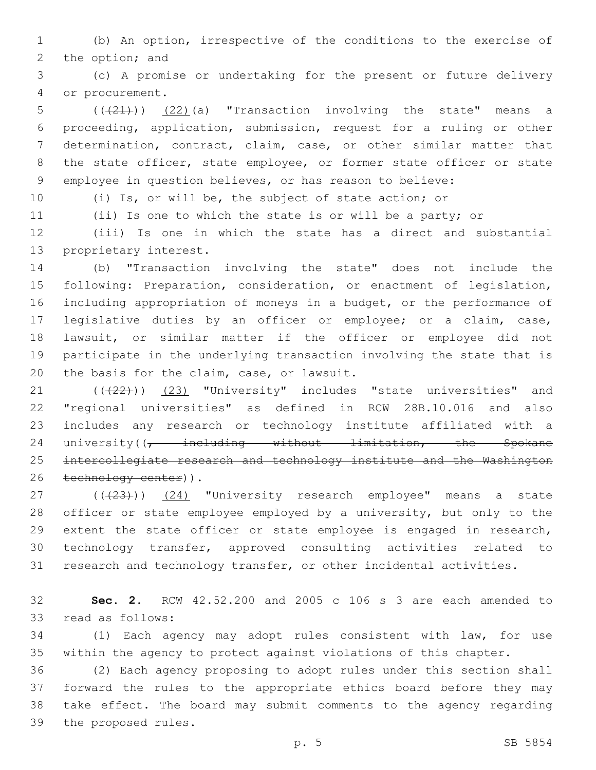(b) An option, irrespective of the conditions to the exercise of 2 the option; and

 (c) A promise or undertaking for the present or future delivery 4 or procurement.

 $((+21))$   $(22)$  (a) "Transaction involving the state" means a proceeding, application, submission, request for a ruling or other determination, contract, claim, case, or other similar matter that 8 the state officer, state employee, or former state officer or state employee in question believes, or has reason to believe:

(i) Is, or will be, the subject of state action; or

(ii) Is one to which the state is or will be a party; or

 (iii) Is one in which the state has a direct and substantial 13 proprietary interest.

 (b) "Transaction involving the state" does not include the following: Preparation, consideration, or enactment of legislation, including appropriation of moneys in a budget, or the performance of legislative duties by an officer or employee; or a claim, case, lawsuit, or similar matter if the officer or employee did not participate in the underlying transaction involving the state that is 20 the basis for the claim, case, or lawsuit.

21 (((22))) (23) "University" includes "state universities" and "regional universities" as defined in RCW 28B.10.016 and also includes any research or technology institute affiliated with a 24 university((<del>, including without limitation, the Spokane</del> intercollegiate research and technology institute and the Washington 26 technology center)).

27 (((23))) (24) "University research employee" means a state officer or state employee employed by a university, but only to the extent the state officer or state employee is engaged in research, technology transfer, approved consulting activities related to research and technology transfer, or other incidental activities.

 **Sec. 2.** RCW 42.52.200 and 2005 c 106 s 3 are each amended to 33 read as follows:

 (1) Each agency may adopt rules consistent with law, for use within the agency to protect against violations of this chapter.

 (2) Each agency proposing to adopt rules under this section shall forward the rules to the appropriate ethics board before they may take effect. The board may submit comments to the agency regarding 39 the proposed rules.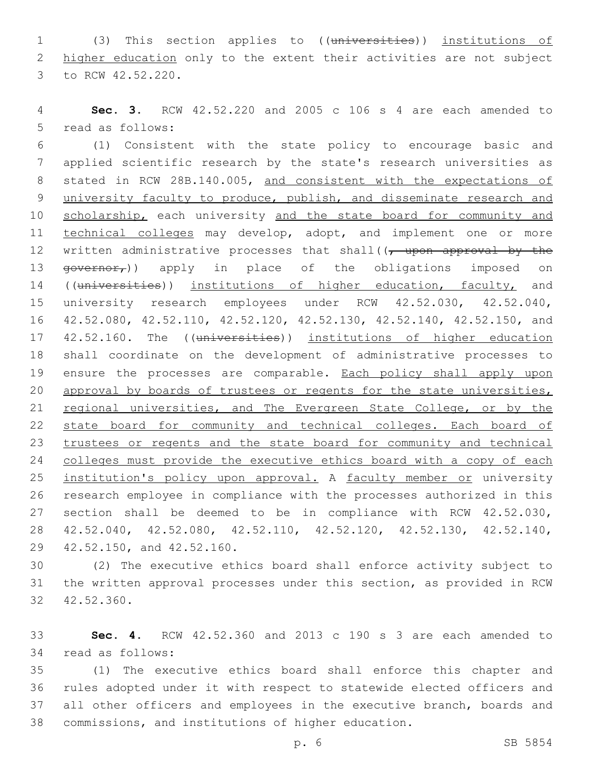1 (3) This section applies to ((universities)) institutions of 2 higher education only to the extent their activities are not subject 3 to RCW 42.52.220.

4 **Sec. 3.** RCW 42.52.220 and 2005 c 106 s 4 are each amended to 5 read as follows:

6 (1) Consistent with the state policy to encourage basic and 7 applied scientific research by the state's research universities as 8 stated in RCW 28B.140.005, and consistent with the expectations of 9 university faculty to produce, publish, and disseminate research and 10 scholarship, each university and the state board for community and 11 technical colleges may develop, adopt, and implement one or more 12 written administrative processes that shall((, upon approval by the 13  $\frac{13}{2}$   $\frac{13}{2}$   $\frac{13}{2}$   $\frac{13}{2}$   $\frac{13}{2}$   $\frac{13}{2}$   $\frac{13}{2}$   $\frac{13}{2}$   $\frac{13}{2}$   $\frac{13}{2}$   $\frac{13}{2}$   $\frac{13}{2}$   $\frac{13}{2}$   $\frac{13}{2}$   $\frac{13}{2}$   $\frac{13}{2}$   $\frac{13}{2}$   $\frac{13}{2}$   $\frac{13}{2}$   $\frac{13}{2}$ 14 ((universities)) institutions of higher education, faculty, and 15 university research employees under RCW 42.52.030, 42.52.040, 16 42.52.080, 42.52.110, 42.52.120, 42.52.130, 42.52.140, 42.52.150, and 17 42.52.160. The ((universities)) institutions of higher education 18 shall coordinate on the development of administrative processes to 19 ensure the processes are comparable. Each policy shall apply upon 20 approval by boards of trustees or regents for the state universities, 21 regional universities, and The Evergreen State College, or by the 22 state board for community and technical colleges. Each board of 23 trustees or regents and the state board for community and technical 24 colleges must provide the executive ethics board with a copy of each 25 institution's policy upon approval. A faculty member or university 26 research employee in compliance with the processes authorized in this 27 section shall be deemed to be in compliance with RCW 42.52.030, 28 42.52.040, 42.52.080, 42.52.110, 42.52.120, 42.52.130, 42.52.140, 29 42.52.150, and 42.52.160.

30 (2) The executive ethics board shall enforce activity subject to 31 the written approval processes under this section, as provided in RCW 32 42.52.360.

33 **Sec. 4.** RCW 42.52.360 and 2013 c 190 s 3 are each amended to 34 read as follows:

 (1) The executive ethics board shall enforce this chapter and rules adopted under it with respect to statewide elected officers and all other officers and employees in the executive branch, boards and commissions, and institutions of higher education.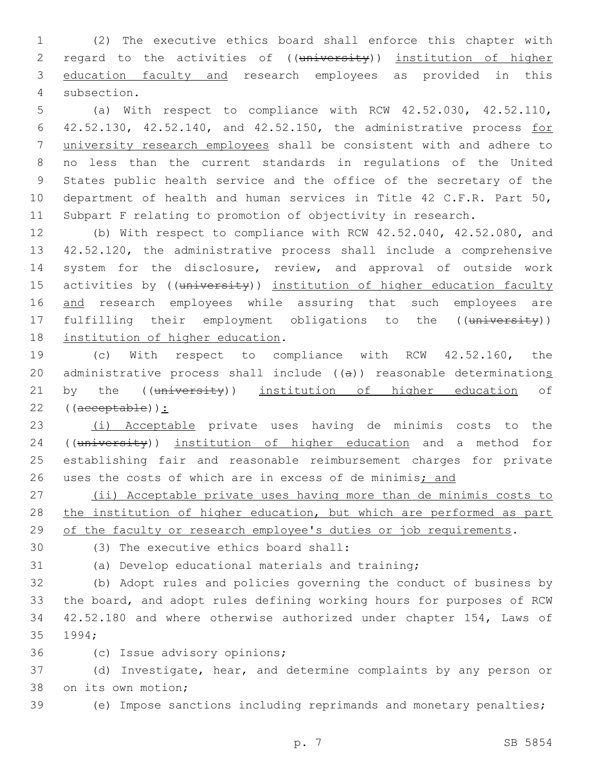1 (2) The executive ethics board shall enforce this chapter with 2 regard to the activities of ((university)) institution of higher 3 education faculty and research employees as provided in this 4 subsection.

 (a) With respect to compliance with RCW 42.52.030, 42.52.110, 42.52.130, 42.52.140, and 42.52.150, the administrative process for university research employees shall be consistent with and adhere to no less than the current standards in regulations of the United States public health service and the office of the secretary of the department of health and human services in Title 42 C.F.R. Part 50, Subpart F relating to promotion of objectivity in research.

12 (b) With respect to compliance with RCW 42.52.040, 42.52.080, and 13 42.52.120, the administrative process shall include a comprehensive 14 system for the disclosure, review, and approval of outside work 15 activities by ((university)) institution of higher education faculty 16 and research employees while assuring that such employees are 17 fulfilling their employment obligations to the ((university)) 18 institution of higher education.

19 (c) With respect to compliance with RCW 42.52.160, the 20 administrative process shall include ((a)) reasonable determinations 21 by the ((university)) institution of higher education of 22 ((acceptable)):

23 (i) Acceptable private uses having de minimis costs to the 24 ((university)) institution of higher education and a method for 25 establishing fair and reasonable reimbursement charges for private 26 uses the costs of which are in excess of de minimis; and

27 (ii) Acceptable private uses having more than de minimis costs to 28 the institution of higher education, but which are performed as part 29 of the faculty or research employee's duties or job requirements.

(3) The executive ethics board shall:30

31 (a) Develop educational materials and training;

 (b) Adopt rules and policies governing the conduct of business by the board, and adopt rules defining working hours for purposes of RCW 42.52.180 and where otherwise authorized under chapter 154, Laws of 35 1994;

36 (c) Issue advisory opinions;

37 (d) Investigate, hear, and determine complaints by any person or 38 on its own motion;

39 (e) Impose sanctions including reprimands and monetary penalties;